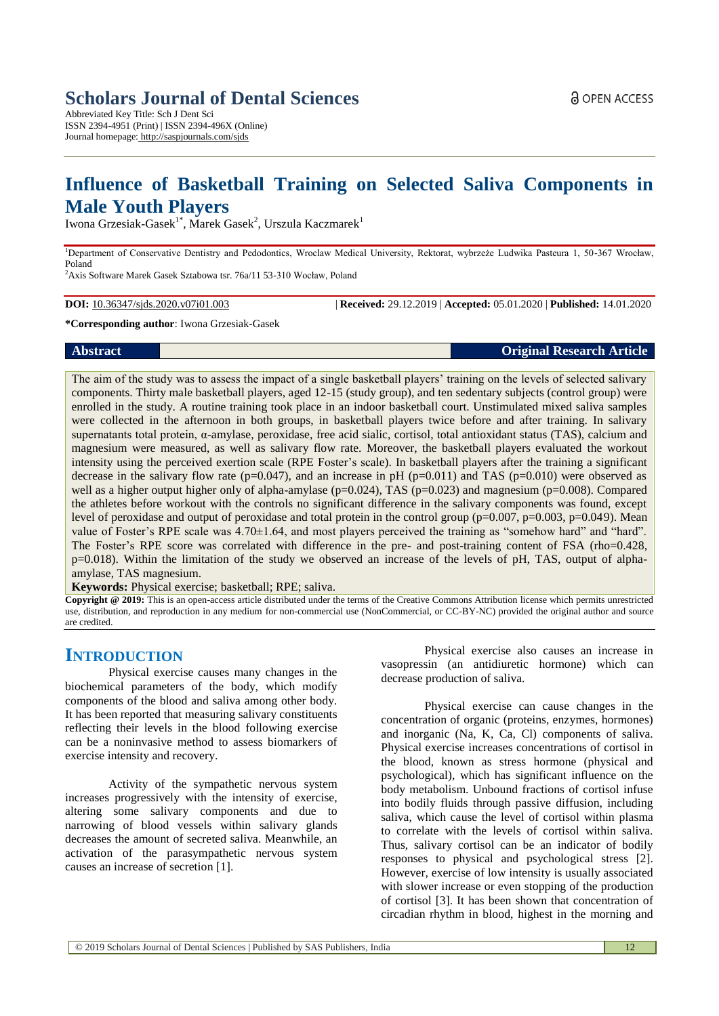# **Scholars Journal of Dental Sciences**

Abbreviated Key Title: Sch J Dent Sci ISSN 2394-4951 (Print) | ISSN 2394-496X (Online) Journal homepage: <http://saspjournals.com/sjds>

# **Influence of Basketball Training on Selected Saliva Components in Male Youth Players**

Iwona Grzesiak-Gasek $^{1*}$ , Marek Gasek $^{2}$ , Urszula Kaczmarek $^{1}$ 

<sup>1</sup>Department of Conservative Dentistry and Pedodontics, Wroclaw Medical University, Rektorat, wybrzeże Ludwika Pasteura 1, 50-367 Wrocław, Poland

<sup>2</sup>Axis Software Marek Gasek Sztabowa tsr. 76a/11 53-310 Wocław, Poland

**DOI:** 10.36347/sjds.2020.v07i01.003 | **Received:** 29.12.2019 | **Accepted:** 05.01.2020 | **Published:** 14.01.2020

#### **\*Corresponding author**: Iwona Grzesiak-Gasek

#### **Abstract Original Research Article**

The aim of the study was to assess the impact of a single basketball players' training on the levels of selected salivary components. Thirty male basketball players, aged 12-15 (study group), and ten sedentary subjects (control group) were enrolled in the study. A routine training took place in an indoor basketball court. Unstimulated mixed saliva samples were collected in the afternoon in both groups, in basketball players twice before and after training. In salivary supernatants total protein,  $\alpha$ -amylase, peroxidase, free acid sialic, cortisol, total antioxidant status (TAS), calcium and magnesium were measured, as well as salivary flow rate. Moreover, the basketball players evaluated the workout intensity using the perceived exertion scale (RPE Foster's scale). In basketball players after the training a significant decrease in the salivary flow rate ( $p=0.047$ ), and an increase in pH ( $p=0.011$ ) and TAS ( $p=0.010$ ) were observed as well as a higher output higher only of alpha-amylase ( $p=0.024$ ), TAS ( $p=0.023$ ) and magnesium ( $p=0.008$ ). Compared the athletes before workout with the controls no significant difference in the salivary components was found, except level of peroxidase and output of peroxidase and total protein in the control group ( $p=0.007$ ,  $p=0.003$ ,  $p=0.049$ ). Mean value of Foster's RPE scale was 4.70±1.64, and most players perceived the training as "somehow hard" and "hard". The Foster's RPE score was correlated with difference in the pre- and post-training content of FSA (rho=0.428, p=0.018). Within the limitation of the study we observed an increase of the levels of pH, TAS, output of alphaamylase, TAS magnesium.

**Keywords:** Physical exercise; basketball; RPE; saliva.

**Copyright @ 2019:** This is an open-access article distributed under the terms of the Creative Commons Attribution license which permits unrestricted use, distribution, and reproduction in any medium for non-commercial use (NonCommercial, or CC-BY-NC) provided the original author and source are credited.

# **INTRODUCTION**

Physical exercise causes many changes in the biochemical parameters of the body, which modify components of the blood and saliva among other body. It has been reported that measuring salivary constituents reflecting their levels in the blood following exercise can be a noninvasive method to assess biomarkers of exercise intensity and recovery.

Activity of the sympathetic nervous system increases progressively with the intensity of exercise, altering some salivary components and due to narrowing of blood vessels within salivary glands decreases the amount of secreted saliva. Meanwhile, an activation of the parasympathetic nervous system causes an increase of secretion [1].

Physical exercise also causes an increase in vasopressin (an antidiuretic hormone) which can decrease production of saliva.

Physical exercise can cause changes in the concentration of organic (proteins, enzymes, hormones) and inorganic (Na, K, Ca, Cl) components of saliva. Physical exercise increases concentrations of cortisol in the blood, known as stress hormone (physical and psychological), which has significant influence on the body metabolism. Unbound fractions of cortisol infuse into bodily fluids through passive diffusion, including saliva, which cause the level of cortisol within plasma to correlate with the levels of cortisol within saliva. Thus, salivary cortisol can be an indicator of bodily responses to physical and psychological stress [2]. However, exercise of low intensity is usually associated with slower increase or even stopping of the production of cortisol [3]. It has been shown that concentration of circadian rhythm in blood, highest in the morning and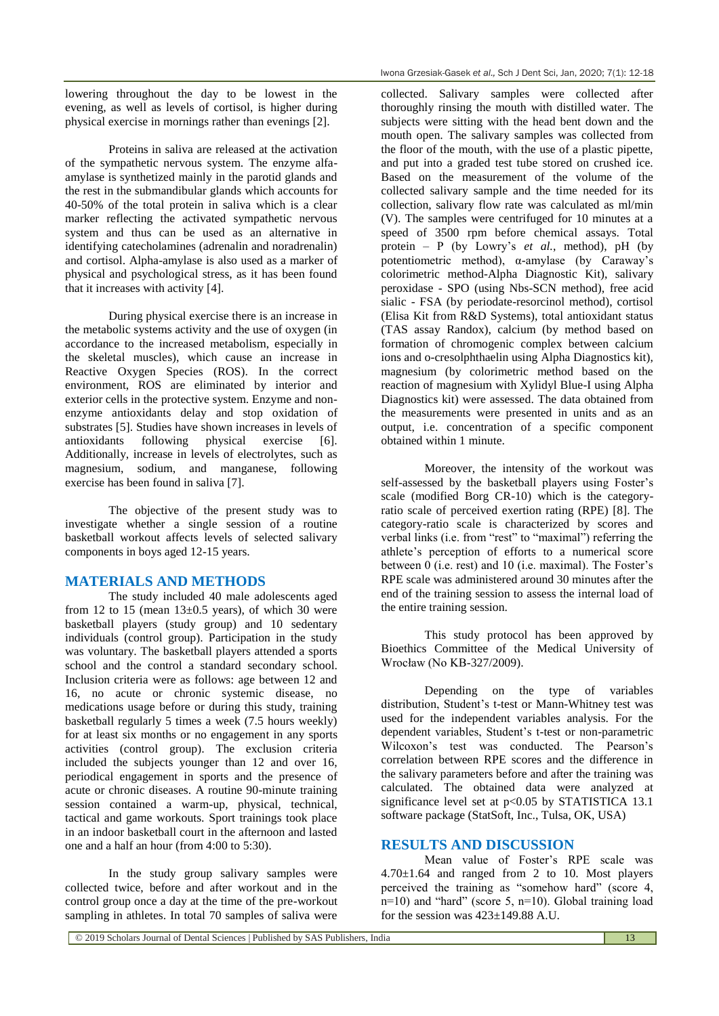lowering throughout the day to be lowest in the evening, as well as levels of cortisol, is higher during physical exercise in mornings rather than evenings [2].

Proteins in saliva are released at the activation of the sympathetic nervous system. The enzyme alfaamylase is synthetized mainly in the parotid glands and the rest in the submandibular glands which accounts for 40-50% of the total protein in saliva which is a clear marker reflecting the activated sympathetic nervous system and thus can be used as an alternative in identifying catecholamines (adrenalin and noradrenalin) and cortisol. Alpha-amylase is also used as a marker of physical and psychological stress, as it has been found that it increases with activity [4].

During physical exercise there is an increase in the metabolic systems activity and the use of oxygen (in accordance to the increased metabolism, especially in the skeletal muscles), which cause an increase in Reactive Oxygen Species (ROS). In the correct environment, ROS are eliminated by interior and exterior cells in the protective system. Enzyme and nonenzyme antioxidants delay and stop oxidation of substrates [5]. Studies have shown increases in levels of antioxidants following physical exercise [6]. Additionally, increase in levels of electrolytes, such as magnesium, sodium, and manganese, following exercise has been found in saliva [7].

The objective of the present study was to investigate whether a single session of a routine basketball workout affects levels of selected salivary components in boys aged 12-15 years.

#### **MATERIALS AND METHODS**

The study included 40 male adolescents aged from 12 to 15 (mean  $13\pm0.5$  years), of which 30 were basketball players (study group) and 10 sedentary individuals (control group). Participation in the study was voluntary. The basketball players attended a sports school and the control a standard secondary school. Inclusion criteria were as follows: age between 12 and 16, no acute or chronic systemic disease, no medications usage before or during this study, training basketball regularly 5 times a week (7.5 hours weekly) for at least six months or no engagement in any sports activities (control group). The exclusion criteria included the subjects younger than 12 and over 16, periodical engagement in sports and the presence of acute or chronic diseases. A routine 90-minute training session contained a warm-up, physical, technical, tactical and game workouts. Sport trainings took place in an indoor basketball court in the afternoon and lasted one and a half an hour (from 4:00 to 5:30).

In the study group salivary samples were collected twice, before and after workout and in the control group once a day at the time of the pre-workout sampling in athletes. In total 70 samples of saliva were

collected. Salivary samples were collected after thoroughly rinsing the mouth with distilled water. The subjects were sitting with the head bent down and the mouth open. The salivary samples was collected from the floor of the mouth, with the use of a plastic pipette, and put into a graded test tube stored on crushed ice. Based on the measurement of the volume of the collected salivary sample and the time needed for its collection, salivary flow rate was calculated as ml/min (V). The samples were centrifuged for 10 minutes at a speed of 3500 rpm before chemical assays. Total protein – P (by Lowry's *et al.*, method), pH (by potentiometric method), α-amylase (by Caraway's colorimetric method-Alpha Diagnostic Kit), salivary peroxidase - SPO (using Nbs-SCN method), free acid sialic - FSA (by periodate-resorcinol method), cortisol (Elisa Kit from R&D Systems), total antioxidant status (TAS assay Randox), calcium (by method based on formation of chromogenic complex between calcium ions and o-cresolphthaelin using Alpha Diagnostics kit), magnesium (by colorimetric method based on the reaction of magnesium with Xylidyl Blue-I using Alpha Diagnostics kit) were assessed. The data obtained from the measurements were presented in units and as an output, i.e. concentration of a specific component obtained within 1 minute.

Moreover, the intensity of the workout was self-assessed by the basketball players using Foster's scale (modified Borg CR-10) which is the categoryratio scale of perceived exertion rating (RPE) [8]. The category-ratio scale is characterized by scores and verbal links (i.e. from "rest" to "maximal") referring the athlete's perception of efforts to a numerical score between 0 (i.e. rest) and 10 (i.e. maximal). The Foster's RPE scale was administered around 30 minutes after the end of the training session to assess the internal load of the entire training session.

This study protocol has been approved by Bioethics Committee of the Medical University of Wrocław (No KB-327/2009).

Depending on the type of variables distribution, Student's t-test or Mann-Whitney test was used for the independent variables analysis. For the dependent variables, Student's t-test or non-parametric Wilcoxon's test was conducted. The Pearson's correlation between RPE scores and the difference in the salivary parameters before and after the training was calculated. The obtained data were analyzed at significance level set at p<0.05 by STATISTICA 13.1 software package (StatSoft, Inc., Tulsa, OK, USA)

#### **RESULTS AND DISCUSSION**

Mean value of Foster's RPE scale was 4.70±1.64 and ranged from 2 to 10. Most players perceived the training as "somehow hard" (score 4, n=10) and "hard" (score 5, n=10). Global training load for the session was  $423 \pm 149.88$  A.U.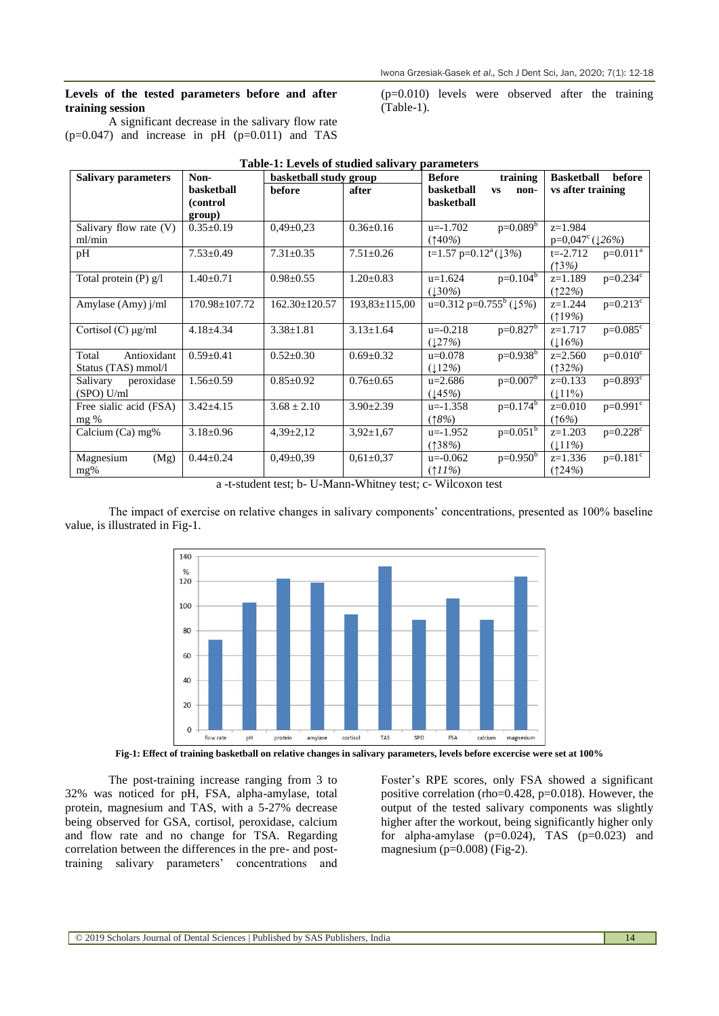#### **Levels of the tested parameters before and after training session**

A significant decrease in the salivary flow rate  $(p=0.047)$  and increase in pH  $(p=0.011)$  and TAS

**Salivary parameters** Non**basketball (control group) basketball study group Before training basketball vs nonbasketball Basketball before before after basketball vs non- vs after training** Salivary flow rate (V) ml/min  $0.35\pm0.19$   $0.49\pm0.23$   $0.36\pm0.16$   $u=-1.702$   $p=0.089$ (↑40*%*) z=1.984 p=0,047<sup>c</sup>(↓26%) pH 7.53±0.49 7.31±0.35 7.51±0.26 t=1.57 p=0.12<sup>a</sup>(↓3*%*) t=-2.712 p=0.011<sup>a</sup> *(*↑3*%)*  Total protein (P) g/l  $\begin{array}{|l} | \ \text{1.40} \pm 0.71 \end{array}$  0.98 $\pm$ 0.55 1.20 $\pm$ 0.83 u=1.624 p=0.104b (↓30*%*)  $z=1.189$   $p=0.234$ <sup>c</sup> (↑22*%*) Amylase (Amy) j/ml 170.98 $\pm$ 107.72 162.30 $\pm$ 120.57 193,83 $\pm$ 115,00 u=0.312 p=0.755<sup>b</sup> (15%)  $z=1.244$  p= $0.213<sup>c</sup>$ (↑19*%*) Cortisol (C)  $\mu$ g/ml 4.18±4.34 3.38±1.81 3.13±1.64 u=-0.218 p=0.827 (↓27*%*)  $z=1.717$  p=0.085<sup>c</sup> (↓16*%*) Total Antioxidant Status (TAS) mmol/l  $0.59\pm0.41$   $0.52\pm0.30$   $0.69\pm0.32$   $u=0.078$   $p=0.938^{b}$  $\frac{(\downarrow 12\%)}{u=2.686}$  $z=2.560$   $p=0.010^c$ (↑32*%*) Salivary peroxidase (SPO) U/ml 1.56 $\pm$ 0.59  $\big|$  0.85 $\pm$ 0.92  $\big|$  0.76 $\pm$ 0.65  $\big|$  u=2.686  $p=0.007^b$ (↓45*%*)  $z=0.133$   $p=0.893$ <sup>c</sup>  $(111%)$ Free sialic acid (FSA) mg %  $3.42\pm4.15$   $3.68\pm2.10$   $3.90\pm2.39$   $\mu=-1.358$   $p=0.174^b$ (↑*8%*)  $z=0.010$   $p=0.991$ <sup>c</sup> (↑6*%*) Calcium (Ca) mg% 3.18±0.96 4,39±2,12 3,92±1,67 u=-1.952 p=0.051 (↑38*%*)  $z=1.203$   $p=0.228$ <sup>c</sup> (↓11*%*) Magnesium (Mg) mg%  $0.44\pm0.24$   $0.49\pm0.39$   $0.61\pm0.37$   $u=-0.062$   $p=0.950$ (↑*11%*)  $z=1.336$   $p=0.181^c$ (↑24*%*)

# **Table-1: Levels of studied salivary parameters**

(Table-1).

a -t-student test; b- U-Mann-Whitney test; c- Wilcoxon test

The impact of exercise on relative changes in salivary components' concentrations, presented as 100% baseline value, is illustrated in Fig-1.



**Fig-1: Effect of training basketball on relative changes in salivary parameters, levels before excercise were set at 100%**

The post-training increase ranging from 3 to 32% was noticed for pH, FSA, alpha-amylase, total protein, magnesium and TAS, with a 5-27% decrease being observed for GSA, cortisol, peroxidase, calcium and flow rate and no change for TSA. Regarding correlation between the differences in the pre- and posttraining salivary parameters' concentrations and Foster's RPE scores, only FSA showed a significant positive correlation (rho=0.428, p=0.018). However, the output of the tested salivary components was slightly higher after the workout, being significantly higher only for alpha-amylase  $(p=0.024)$ , TAS  $(p=0.023)$  and magnesium ( $p=0.008$ ) (Fig-2).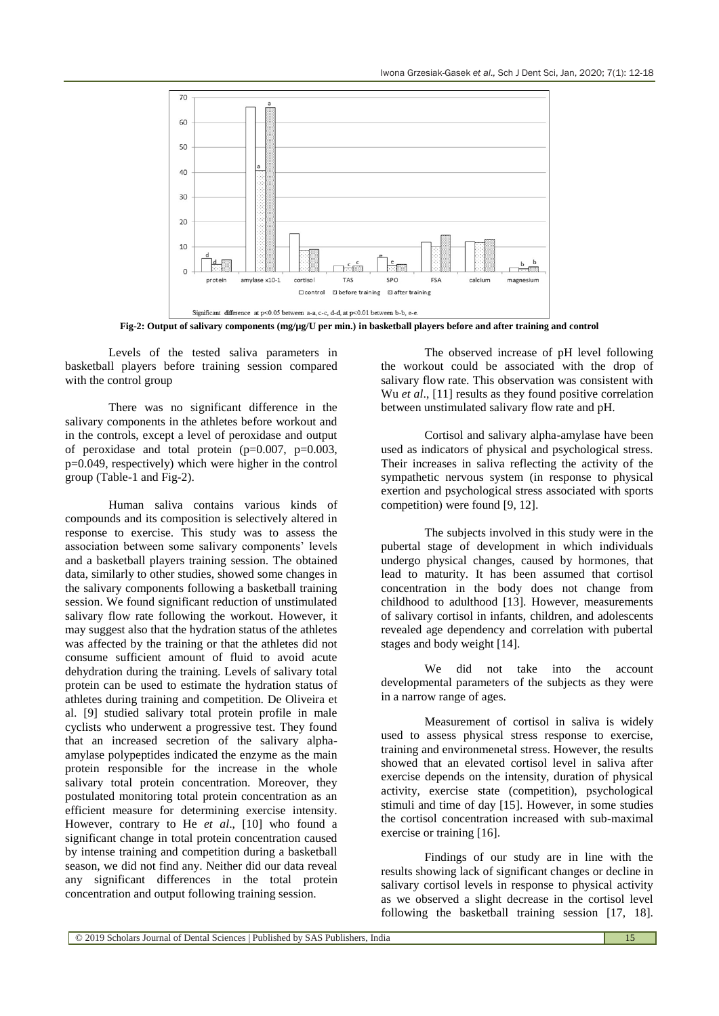

**Fig-2: Output of salivary components (mg/µg/U per min.) in basketball players before and after training and control**

Levels of the tested saliva parameters in basketball players before training session compared with the control group

There was no significant difference in the salivary components in the athletes before workout and in the controls, except a level of peroxidase and output of peroxidase and total protein (p=0.007, p=0.003, p=0.049, respectively) which were higher in the control group (Table-1 and Fig-2).

Human saliva contains various kinds of compounds and its composition is selectively altered in response to exercise. This study was to assess the association between some salivary components' levels and a basketball players training session. The obtained data, similarly to other studies, showed some changes in the salivary components following a basketball training session. We found significant reduction of unstimulated salivary flow rate following the workout. However, it may suggest also that the hydration status of the athletes was affected by the training or that the athletes did not consume sufficient amount of fluid to avoid acute dehydration during the training. Levels of salivary total protein can be used to estimate the hydration status of athletes during training and competition. De Oliveira et al. [9] studied salivary total protein profile in male cyclists who underwent a progressive test. They found that an increased secretion of the salivary alphaamylase polypeptides indicated the enzyme as the main protein responsible for the increase in the whole salivary total protein concentration. Moreover, they postulated monitoring total protein concentration as an efficient measure for determining exercise intensity. However, contrary to He *et al*., [10] who found a significant change in total protein concentration caused by intense training and competition during a basketball season, we did not find any. Neither did our data reveal any significant differences in the total protein concentration and output following training session.

The observed increase of pH level following the workout could be associated with the drop of salivary flow rate. This observation was consistent with Wu *et al.*, [11] results as they found positive correlation between unstimulated salivary flow rate and pH.

Cortisol and salivary alpha-amylase have been used as indicators of physical and psychological stress. Their increases in saliva reflecting the activity of the sympathetic nervous system (in response to physical exertion and psychological stress associated with sports competition) were found [9, 12].

The subjects involved in this study were in the pubertal stage of development in which individuals undergo physical changes, caused by hormones, that lead to maturity. It has been assumed that cortisol concentration in the body does not change from childhood to adulthood [13]. However, measurements of salivary cortisol in infants, children, and adolescents revealed age dependency and correlation with pubertal stages and body weight [14].

We did not take into the account developmental parameters of the subjects as they were in a narrow range of ages.

Measurement of cortisol in saliva is widely used to assess physical stress response to exercise, training and environmenetal stress. However, the results showed that an elevated cortisol level in saliva after exercise depends on the intensity, duration of physical activity, exercise state (competition), psychological stimuli and time of day [15]. However, in some studies the cortisol concentration increased with sub-maximal exercise or training [16].

Findings of our study are in line with the results showing lack of significant changes or decline in salivary cortisol levels in response to physical activity as we observed a slight decrease in the cortisol level following the basketball training session [17, 18].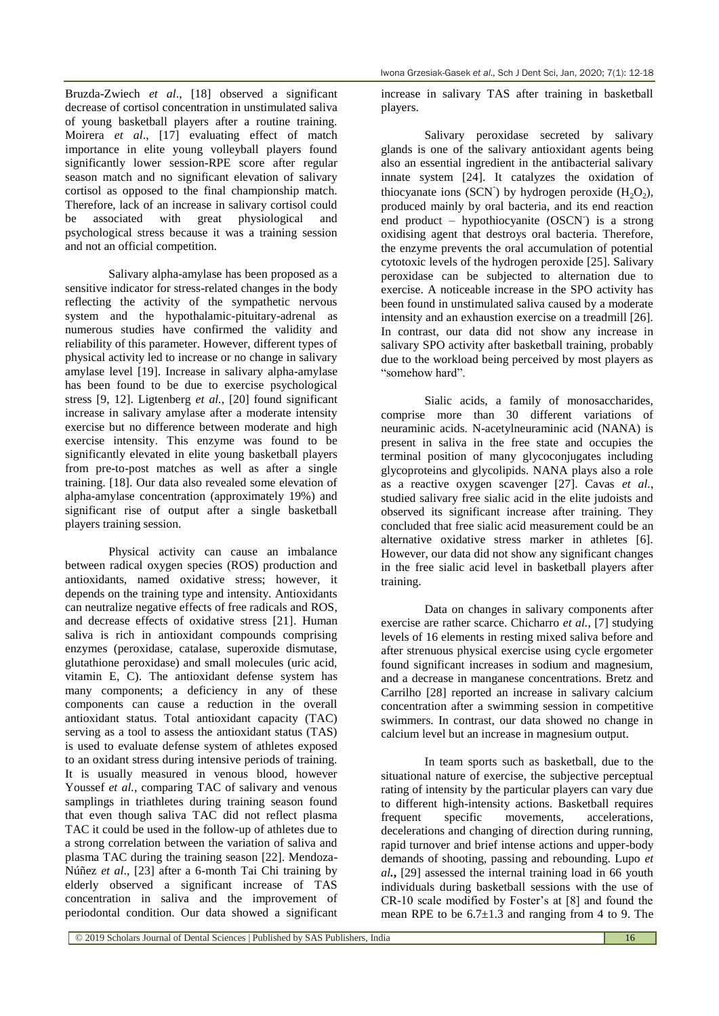Bruzda-Zwiech *et al*., [18] observed a significant decrease of cortisol concentration in unstimulated saliva of young basketball players after a routine training. Moirera *et al*., [17] evaluating effect of match importance in elite young volleyball players found significantly lower session-RPE score after regular season match and no significant elevation of salivary cortisol as opposed to the final championship match. Therefore, lack of an increase in salivary cortisol could be associated with great physiological and psychological stress because it was a training session and not an official competition.

Salivary alpha-amylase has been proposed as a sensitive indicator for stress-related changes in the body reflecting the activity of the sympathetic nervous system and the hypothalamic-pituitary-adrenal as numerous studies have confirmed the validity and reliability of this parameter. However, different types of physical activity led to increase or no change in salivary amylase level [19]. Increase in salivary alpha-amylase has been found to be due to exercise psychological stress [9, 12]. Ligtenberg *et al.*, [20] found significant increase in salivary amylase after a moderate intensity exercise but no difference between moderate and high exercise intensity. This enzyme was found to be significantly elevated in elite young basketball players from pre-to-post matches as well as after a single training. [18]. Our data also revealed some elevation of alpha-amylase concentration (approximately 19%) and significant rise of output after a single basketball players training session.

Physical activity can cause an imbalance between radical oxygen species (ROS) production and antioxidants, named oxidative stress; however, it depends on the training type and intensity. Antioxidants can neutralize negative effects of free radicals and ROS, and decrease effects of oxidative stress [21]. Human saliva is rich in antioxidant compounds comprising enzymes (peroxidase, catalase, superoxide dismutase, glutathione peroxidase) and small molecules (uric acid, vitamin E, C). The antioxidant defense system has many components; a deficiency in any of these components can cause a reduction in the overall antioxidant status. Total antioxidant capacity (TAC) serving as a tool to assess the antioxidant status (TAS) is used to evaluate defense system of athletes exposed to an oxidant stress during intensive periods of training. It is usually measured in venous blood, however Youssef *et al.*, comparing TAC of salivary and venous samplings in triathletes during training season found that even though saliva TAC did not reflect plasma TAC it could be used in the follow-up of athletes due to a strong correlation between the variation of saliva and plasma TAC during the training season [22]. Mendoza-Núñez *et al*., [23] after a 6-month Tai Chi training by elderly observed a significant increase of TAS concentration in saliva and the improvement of periodontal condition. Our data showed a significant

increase in salivary TAS after training in basketball players.

Salivary peroxidase secreted by salivary glands is one of the salivary antioxidant agents being also an essential ingredient in the antibacterial salivary innate system [24]. It catalyzes the oxidation of thiocyanate ions (SCN) by hydrogen peroxide  $(H_2O_2)$ , produced mainly by oral bacteria, and its end reaction end product – hypothiocyanite (OSCN) is a strong oxidising agent that destroys oral bacteria. Therefore, the enzyme prevents the oral accumulation of potential cytotoxic levels of the hydrogen peroxide [25]. Salivary peroxidase can be subjected to alternation due to exercise. A noticeable increase in the SPO activity has been found in unstimulated saliva caused by a moderate intensity and an exhaustion exercise on a treadmill [26]. In contrast, our data did not show any increase in salivary SPO activity after basketball training, probably due to the workload being perceived by most players as "somehow hard".

Sialic acids, a family of monosaccharides, comprise more than 30 different variations of neuraminic acids. N-acetylneuraminic acid (NANA) is present in saliva in the free state and occupies the terminal position of many glycoconjugates including glycoproteins and glycolipids. NANA plays also a role as a reactive oxygen scavenger [27]. Cavas *et al.*, studied salivary free sialic acid in the elite judoists and observed its significant increase after training. They concluded that free sialic acid measurement could be an alternative oxidative stress marker in athletes [6]. However, our data did not show any significant changes in the free sialic acid level in basketball players after training.

Data on changes in salivary components after exercise are rather scarce. Chicharro *et al.*, [7] studying levels of 16 elements in resting mixed saliva before and after strenuous physical exercise using cycle ergometer found significant increases in sodium and magnesium, and a decrease in manganese concentrations. Bretz and Carrilho [28] reported an increase in salivary calcium concentration after a swimming session in competitive swimmers. In contrast, our data showed no change in calcium level but an increase in magnesium output.

In team sports such as basketball, due to the situational nature of exercise, the subjective perceptual rating of intensity by the particular players can vary due to different high-intensity actions. Basketball requires frequent specific movements, accelerations, decelerations and changing of direction during running, rapid turnover and brief intense actions and upper-body demands of shooting, passing and rebounding. Lupo *et al.***,** [29] assessed the internal training load in 66 youth individuals during basketball sessions with the use of CR-10 scale modified by Foster's at [8] and found the mean RPE to be  $6.7\pm1.3$  and ranging from 4 to 9. The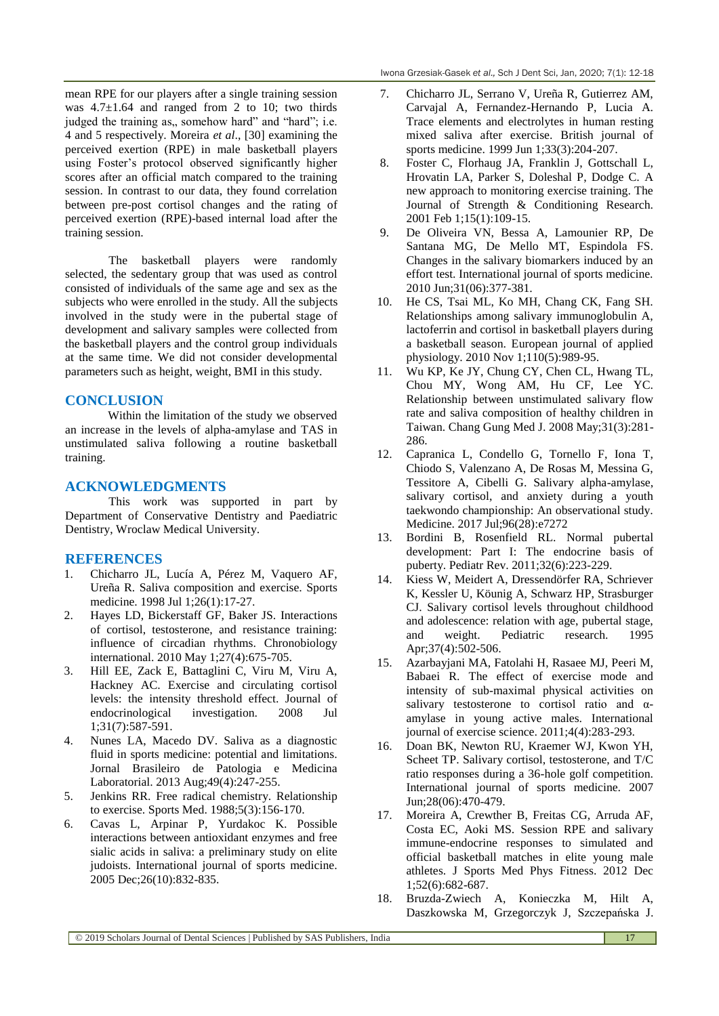mean RPE for our players after a single training session was  $4.7\pm1.64$  and ranged from 2 to 10; two thirds judged the training as,, somehow hard" and "hard"; i.e. 4 and 5 respectively. Moreira *et al*., [30] examining the perceived exertion (RPE) in male basketball players using Foster's protocol observed significantly higher scores after an official match compared to the training session. In contrast to our data, they found correlation between pre-post cortisol changes and the rating of perceived exertion (RPE)-based internal load after the training session.

The basketball players were randomly selected, the sedentary group that was used as control consisted of individuals of the same age and sex as the subjects who were enrolled in the study. All the subjects involved in the study were in the pubertal stage of development and salivary samples were collected from the basketball players and the control group individuals at the same time. We did not consider developmental parameters such as height, weight, BMI in this study.

# **CONCLUSION**

Within the limitation of the study we observed an increase in the levels of alpha-amylase and TAS in unstimulated saliva following a routine basketball training.

### **ACKNOWLEDGMENTS**

This work was supported in part by Department of Conservative Dentistry and Paediatric Dentistry, Wroclaw Medical University.

# **REFERENCES**

- 1. Chicharro JL, Lucía A, Pérez M, Vaquero AF, Ureña R. Saliva composition and exercise. Sports medicine. 1998 Jul 1;26(1):17-27.
- 2. Hayes LD, Bickerstaff GF, Baker JS. Interactions of cortisol, testosterone, and resistance training: influence of circadian rhythms. Chronobiology international. 2010 May 1;27(4):675-705.
- 3. Hill EE, Zack E, Battaglini C, Viru M, Viru A, Hackney AC. Exercise and circulating cortisol levels: the intensity threshold effect. Journal of endocrinological investigation. 2008 Jul 1;31(7):587-591.
- 4. Nunes LA, Macedo DV. Saliva as a diagnostic fluid in sports medicine: potential and limitations. Jornal Brasileiro de Patologia e Medicina Laboratorial. 2013 Aug;49(4):247-255.
- 5. [Jenkins RR.](http://www.ncbi.nlm.nih.gov/sites/entrez?Db=pubmed&Cmd=Search&Term=%22Jenkins%20RR%22%5BAuthor%5D&itool=EntrezSystem2.PEntrez.Pubmed.Pubmed_ResultsPanel.Pubmed_DiscoveryPanel.Pubmed_RVAbstractPlus) Free radical chemistry. Relationship to exercise. [Sports Med.](javascript:AL_get(this,%20) 1988;5(3):156-170.
- 6. Cavas L, Arpinar P, Yurdakoc K. Possible interactions between antioxidant enzymes and free sialic acids in saliva: a preliminary study on elite judoists. International journal of sports medicine. 2005 Dec;26(10):832-835.
- 7. Chicharro JL, Serrano V, Ureña R, Gutierrez AM, Carvajal A, Fernandez-Hernando P, Lucia A. Trace elements and electrolytes in human resting mixed saliva after exercise. British journal of sports medicine. 1999 Jun 1;33(3):204-207.
- 8. Foster C, Florhaug JA, Franklin J, Gottschall L, Hrovatin LA, Parker S, Doleshal P, Dodge C. A new approach to monitoring exercise training. The Journal of Strength & Conditioning Research. 2001 Feb 1;15(1):109-15.
- 9. De Oliveira VN, Bessa A, Lamounier RP, De Santana MG, De Mello MT, Espindola FS. Changes in the salivary biomarkers induced by an effort test. International journal of sports medicine. 2010 Jun;31(06):377-381.
- 10. He CS, Tsai ML, Ko MH, Chang CK, Fang SH. Relationships among salivary immunoglobulin A, lactoferrin and cortisol in basketball players during a basketball season. European journal of applied physiology. 2010 Nov 1;110(5):989-95.
- 11. Wu KP, Ke JY, Chung CY, Chen CL, Hwang TL, Chou MY, Wong AM, Hu CF, Lee YC. Relationship between unstimulated salivary flow rate and saliva composition of healthy children in Taiwan. Chang Gung Med J. 2008 May;31(3):281- 286.
- 12. Capranica L, Condello G, Tornello F, Iona T, Chiodo S, Valenzano A, De Rosas M, Messina G, Tessitore A, Cibelli G. Salivary alpha-amylase, salivary cortisol, and anxiety during a youth taekwondo championship: An observational study. Medicine. 2017 Jul;96(28):e7272
- 13. Bordini B, Rosenfield RL. Normal pubertal development: Part I: The endocrine basis of puberty. Pediatr Rev. 2011;32(6):223-229.
- 14. Kiess W, Meidert A, Dressendörfer RA, Schriever K, Kessler U, Köunig A, Schwarz HP, Strasburger CJ. Salivary cortisol levels throughout childhood and adolescence: relation with age, pubertal stage, and weight. Pediatric research. 1995 Apr;37(4):502-506.
- 15. Azarbayjani MA, Fatolahi H, Rasaee MJ, Peeri M, Babaei R. The effect of exercise mode and intensity of sub-maximal physical activities on salivary testosterone to cortisol ratio and αamylase in young active males. International journal of exercise science. 2011;4(4):283-293.
- 16. Doan BK, Newton RU, Kraemer WJ, Kwon YH, Scheet TP. Salivary cortisol, testosterone, and T/C ratio responses during a 36-hole golf competition. International journal of sports medicine. 2007 Jun;28(06):470-479.
- 17. Moreira A, Crewther B, Freitas CG, Arruda AF, Costa EC, Aoki MS. Session RPE and salivary immune-endocrine responses to simulated and official basketball matches in elite young male athletes. J Sports Med Phys Fitness. 2012 Dec 1;52(6):682-687.
- 18. [Bruzda-Zwiech](https://www.ncbi.nlm.nih.gov/pubmed/?term=Bruzda-Zwiech%20A%5BAuthor%5D&cauthor=true&cauthor_uid=28337878) A, [Konieczka M,](https://www.ncbi.nlm.nih.gov/pubmed/?term=Konieczka%20M%5BAuthor%5D&cauthor=true&cauthor_uid=28337878) [Hilt A,](https://www.ncbi.nlm.nih.gov/pubmed/?term=Hilt%20A%5BAuthor%5D&cauthor=true&cauthor_uid=28337878) [Daszkowska M,](https://www.ncbi.nlm.nih.gov/pubmed/?term=Daszkowska%20M%5BAuthor%5D&cauthor=true&cauthor_uid=28337878) [Grzegorczyk J,](https://www.ncbi.nlm.nih.gov/pubmed/?term=Grzegorczyk%20J%5BAuthor%5D&cauthor=true&cauthor_uid=28337878) [Szczepańska J.](https://www.ncbi.nlm.nih.gov/pubmed/?term=Szczepa%C5%84ska%20J%5BAuthor%5D&cauthor=true&cauthor_uid=28337878)